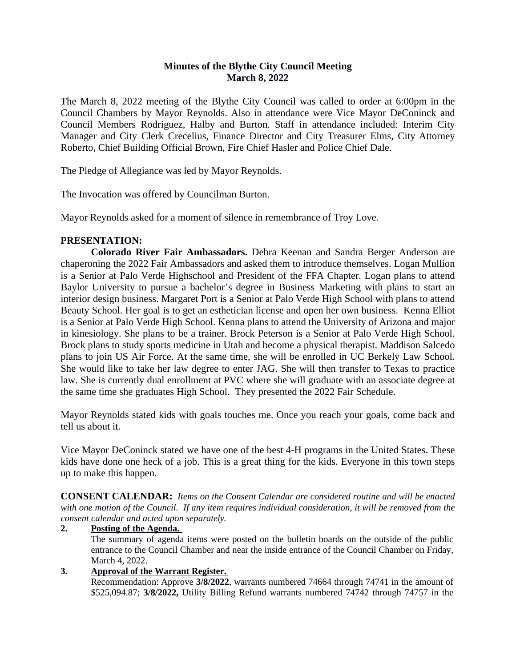# **Minutes of the Blythe City Council Meeting March 8, 2022**

The March 8, 2022 meeting of the Blythe City Council was called to order at 6:00pm in the Council Chambers by Mayor Reynolds. Also in attendance were Vice Mayor DeConinck and Council Members Rodriguez, Halby and Burton. Staff in attendance included: Interim City Manager and City Clerk Crecelius, Finance Director and City Treasurer Elms, City Attorney Roberto, Chief Building Official Brown, Fire Chief Hasler and Police Chief Dale.

The Pledge of Allegiance was led by Mayor Reynolds.

The Invocation was offered by Councilman Burton.

Mayor Reynolds asked for a moment of silence in remembrance of Troy Love.

## **PRESENTATION:**

**Colorado River Fair Ambassadors.** Debra Keenan and Sandra Berger Anderson are chaperoning the 2022 Fair Ambassadors and asked them to introduce themselves. Logan Mullion is a Senior at Palo Verde Highschool and President of the FFA Chapter. Logan plans to attend Baylor University to pursue a bachelor's degree in Business Marketing with plans to start an interior design business. Margaret Port is a Senior at Palo Verde High School with plans to attend Beauty School. Her goal is to get an esthetician license and open her own business. Kenna Elliot is a Senior at Palo Verde High School. Kenna plans to attend the University of Arizona and major in kinesiology. She plans to be a trainer. Brock Peterson is a Senior at Palo Verde High School. Brock plans to study sports medicine in Utah and become a physical therapist. Maddison Salcedo plans to join US Air Force. At the same time, she will be enrolled in UC Berkely Law School. She would like to take her law degree to enter JAG. She will then transfer to Texas to practice law. She is currently dual enrollment at PVC where she will graduate with an associate degree at the same time she graduates High School. They presented the 2022 Fair Schedule.

Mayor Reynolds stated kids with goals touches me. Once you reach your goals, come back and tell us about it.

Vice Mayor DeConinck stated we have one of the best 4-H programs in the United States. These kids have done one heck of a job. This is a great thing for the kids. Everyone in this town steps up to make this happen.

**CONSENT CALENDAR:** *Items on the Consent Calendar are considered routine and will be enacted* with one motion of the Council. If any item requires individual consideration, it will be removed from the *consent calendar and acted upon separately.*

## **2. Posting of the Agenda.**

The summary of agenda items were posted on the bulletin boards on the outside of the public entrance to the Council Chamber and near the inside entrance of the Council Chamber on Friday, March 4, 2022.

## **3. Approval of the Warrant Register.**

Recommendation: Approve **3/8/2022**, warrants numbered 74664 through 74741 in the amount of \$525,094.87; **3/8/2022,** Utility Billing Refund warrants numbered 74742 through 74757 in the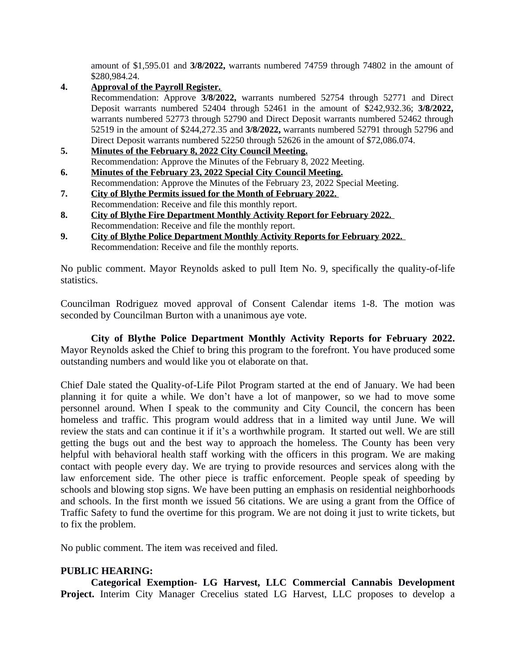amount of \$1,595.01 and **3/8/2022,** warrants numbered 74759 through 74802 in the amount of \$280,984.24.

## **4. Approval of the Payroll Register.**

Recommendation: Approve **3/8/2022,** warrants numbered 52754 through 52771 and Direct Deposit warrants numbered 52404 through 52461 in the amount of \$242,932.36; **3/8/2022,** warrants numbered 52773 through 52790 and Direct Deposit warrants numbered 52462 through 52519 in the amount of \$244,272.35 and **3/8/2022,** warrants numbered 52791 through 52796 and Direct Deposit warrants numbered 52250 through 52626 in the amount of \$72,086.074.

#### **5. Minutes of the February 8, 2022 City Council Meeting.** Recommendation: Approve the Minutes of the February 8, 2022 Meeting.

- **6. Minutes of the February 23, 2022 Special City Council Meeting.** Recommendation: Approve the Minutes of the February 23, 2022 Special Meeting.
- **7. City of Blythe Permits issued for the Month of February 2022.**  Recommendation: Receive and file this monthly report.
- **8. City of Blythe Fire Department Monthly Activity Report for February 2022.**  Recommendation: Receive and file the monthly report.
- **9. City of Blythe Police Department Monthly Activity Reports for February 2022.**  Recommendation: Receive and file the monthly reports.

No public comment. Mayor Reynolds asked to pull Item No. 9, specifically the quality-of-life statistics.

Councilman Rodriguez moved approval of Consent Calendar items 1-8. The motion was seconded by Councilman Burton with a unanimous aye vote.

**City of Blythe Police Department Monthly Activity Reports for February 2022.** Mayor Reynolds asked the Chief to bring this program to the forefront. You have produced some outstanding numbers and would like you ot elaborate on that.

Chief Dale stated the Quality-of-Life Pilot Program started at the end of January. We had been planning it for quite a while. We don't have a lot of manpower, so we had to move some personnel around. When I speak to the community and City Council, the concern has been homeless and traffic. This program would address that in a limited way until June. We will review the stats and can continue it if it's a worthwhile program. It started out well. We are still getting the bugs out and the best way to approach the homeless. The County has been very helpful with behavioral health staff working with the officers in this program. We are making contact with people every day. We are trying to provide resources and services along with the law enforcement side. The other piece is traffic enforcement. People speak of speeding by schools and blowing stop signs. We have been putting an emphasis on residential neighborhoods and schools. In the first month we issued 56 citations. We are using a grant from the Office of Traffic Safety to fund the overtime for this program. We are not doing it just to write tickets, but to fix the problem.

No public comment. The item was received and filed.

# **PUBLIC HEARING:**

**Categorical Exemption- LG Harvest, LLC Commercial Cannabis Development Project.** Interim City Manager Crecelius stated LG Harvest, LLC proposes to develop a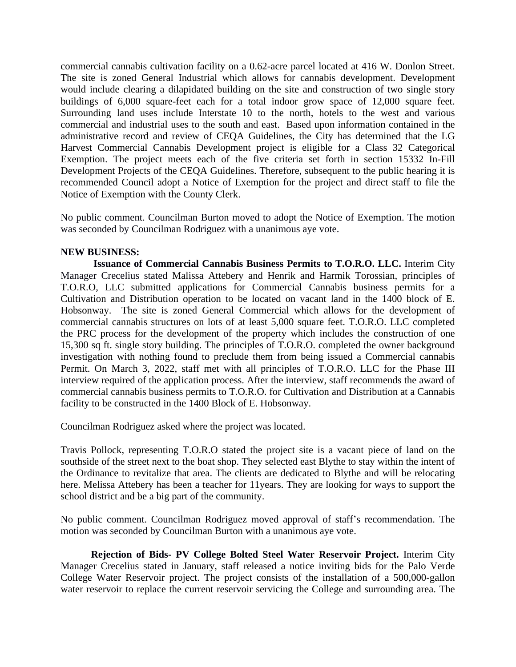commercial cannabis cultivation facility on a 0.62-acre parcel located at 416 W. Donlon Street. The site is zoned General Industrial which allows for cannabis development. Development would include clearing a dilapidated building on the site and construction of two single story buildings of 6,000 square-feet each for a total indoor grow space of 12,000 square feet. Surrounding land uses include Interstate 10 to the north, hotels to the west and various commercial and industrial uses to the south and east. Based upon information contained in the administrative record and review of CEQA Guidelines, the City has determined that the LG Harvest Commercial Cannabis Development project is eligible for a Class 32 Categorical Exemption. The project meets each of the five criteria set forth in section 15332 In-Fill Development Projects of the CEQA Guidelines. Therefore, subsequent to the public hearing it is recommended Council adopt a Notice of Exemption for the project and direct staff to file the Notice of Exemption with the County Clerk.

No public comment. Councilman Burton moved to adopt the Notice of Exemption. The motion was seconded by Councilman Rodriguez with a unanimous aye vote.

#### **NEW BUSINESS:**

**Issuance of Commercial Cannabis Business Permits to T.O.R.O. LLC.** Interim City Manager Crecelius stated Malissa Attebery and Henrik and Harmik Torossian, principles of T.O.R.O, LLC submitted applications for Commercial Cannabis business permits for a Cultivation and Distribution operation to be located on vacant land in the 1400 block of E. Hobsonway. The site is zoned General Commercial which allows for the development of commercial cannabis structures on lots of at least 5,000 square feet. T.O.R.O. LLC completed the PRC process for the development of the property which includes the construction of one 15,300 sq ft. single story building. The principles of T.O.R.O. completed the owner background investigation with nothing found to preclude them from being issued a Commercial cannabis Permit. On March 3, 2022, staff met with all principles of T.O.R.O. LLC for the Phase III interview required of the application process. After the interview, staff recommends the award of commercial cannabis business permits to T.O.R.O. for Cultivation and Distribution at a Cannabis facility to be constructed in the 1400 Block of E. Hobsonway.

Councilman Rodriguez asked where the project was located.

Travis Pollock, representing T.O.R.O stated the project site is a vacant piece of land on the southside of the street next to the boat shop. They selected east Blythe to stay within the intent of the Ordinance to revitalize that area. The clients are dedicated to Blythe and will be relocating here. Melissa Attebery has been a teacher for 11years. They are looking for ways to support the school district and be a big part of the community.

No public comment. Councilman Rodriguez moved approval of staff's recommendation. The motion was seconded by Councilman Burton with a unanimous aye vote.

**Rejection of Bids- PV College Bolted Steel Water Reservoir Project.** Interim City Manager Crecelius stated in January, staff released a notice inviting bids for the Palo Verde College Water Reservoir project. The project consists of the installation of a 500,000-gallon water reservoir to replace the current reservoir servicing the College and surrounding area. The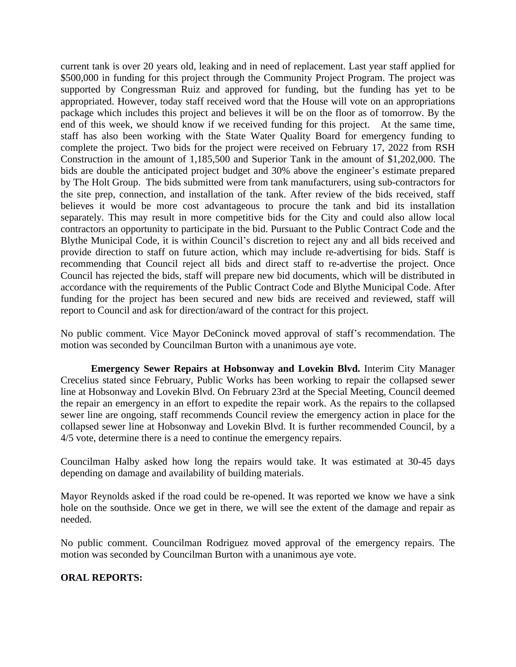current tank is over 20 years old, leaking and in need of replacement. Last year staff applied for \$500,000 in funding for this project through the Community Project Program. The project was supported by Congressman Ruiz and approved for funding, but the funding has yet to be appropriated. However, today staff received word that the House will vote on an appropriations package which includes this project and believes it will be on the floor as of tomorrow. By the end of this week, we should know if we received funding for this project. At the same time, staff has also been working with the State Water Quality Board for emergency funding to complete the project. Two bids for the project were received on February 17, 2022 from RSH Construction in the amount of 1,185,500 and Superior Tank in the amount of \$1,202,000. The bids are double the anticipated project budget and 30% above the engineer's estimate prepared by The Holt Group. The bids submitted were from tank manufacturers, using sub-contractors for the site prep, connection, and installation of the tank. After review of the bids received, staff believes it would be more cost advantageous to procure the tank and bid its installation separately. This may result in more competitive bids for the City and could also allow local contractors an opportunity to participate in the bid. Pursuant to the Public Contract Code and the Blythe Municipal Code, it is within Council's discretion to reject any and all bids received and provide direction to staff on future action, which may include re-advertising for bids. Staff is recommending that Council reject all bids and direct staff to re-advertise the project. Once Council has rejected the bids, staff will prepare new bid documents, which will be distributed in accordance with the requirements of the Public Contract Code and Blythe Municipal Code. After funding for the project has been secured and new bids are received and reviewed, staff will report to Council and ask for direction/award of the contract for this project.

No public comment. Vice Mayor DeConinck moved approval of staff's recommendation. The motion was seconded by Councilman Burton with a unanimous aye vote.

**Emergency Sewer Repairs at Hobsonway and Lovekin Blvd.** Interim City Manager Crecelius stated since February, Public Works has been working to repair the collapsed sewer line at Hobsonway and Lovekin Blvd. On February 23rd at the Special Meeting, Council deemed the repair an emergency in an effort to expedite the repair work. As the repairs to the collapsed sewer line are ongoing, staff recommends Council review the emergency action in place for the collapsed sewer line at Hobsonway and Lovekin Blvd. It is further recommended Council, by a 4/5 vote, determine there is a need to continue the emergency repairs.

Councilman Halby asked how long the repairs would take. It was estimated at 30-45 days depending on damage and availability of building materials.

Mayor Reynolds asked if the road could be re-opened. It was reported we know we have a sink hole on the southside. Once we get in there, we will see the extent of the damage and repair as needed.

No public comment. Councilman Rodriguez moved approval of the emergency repairs. The motion was seconded by Councilman Burton with a unanimous aye vote.

## **ORAL REPORTS:**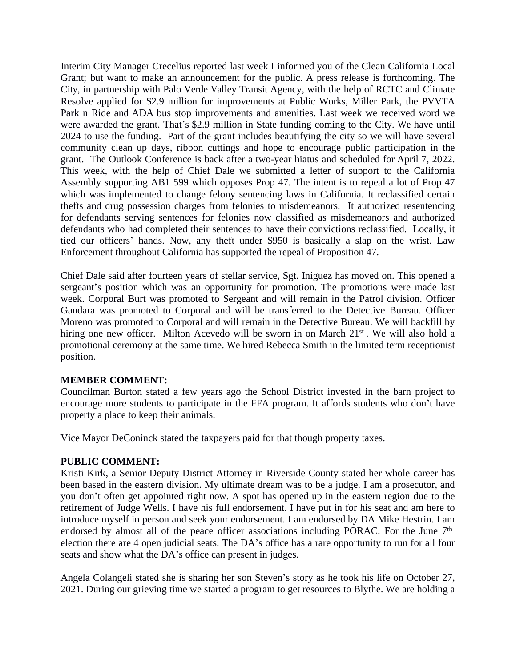Interim City Manager Crecelius reported last week I informed you of the Clean California Local Grant; but want to make an announcement for the public. A press release is forthcoming. The City, in partnership with Palo Verde Valley Transit Agency, with the help of RCTC and Climate Resolve applied for \$2.9 million for improvements at Public Works, Miller Park, the PVVTA Park n Ride and ADA bus stop improvements and amenities. Last week we received word we were awarded the grant. That's \$2.9 million in State funding coming to the City. We have until 2024 to use the funding. Part of the grant includes beautifying the city so we will have several community clean up days, ribbon cuttings and hope to encourage public participation in the grant. The Outlook Conference is back after a two-year hiatus and scheduled for April 7, 2022. This week, with the help of Chief Dale we submitted a letter of support to the California Assembly supporting AB1 599 which opposes Prop 47. The intent is to repeal a lot of Prop 47 which was implemented to change felony sentencing laws in California. It reclassified certain thefts and drug possession charges from felonies to misdemeanors. It authorized resentencing for defendants serving sentences for felonies now classified as misdemeanors and authorized defendants who had completed their sentences to have their convictions reclassified. Locally, it tied our officers' hands. Now, any theft under \$950 is basically a slap on the wrist. Law Enforcement throughout California has supported the repeal of Proposition 47.

Chief Dale said after fourteen years of stellar service, Sgt. Iniguez has moved on. This opened a sergeant's position which was an opportunity for promotion. The promotions were made last week. Corporal Burt was promoted to Sergeant and will remain in the Patrol division. Officer Gandara was promoted to Corporal and will be transferred to the Detective Bureau. Officer Moreno was promoted to Corporal and will remain in the Detective Bureau. We will backfill by hiring one new officer. Milton Acevedo will be sworn in on March 21<sup>st</sup>. We will also hold a promotional ceremony at the same time. We hired Rebecca Smith in the limited term receptionist position.

# **MEMBER COMMENT:**

Councilman Burton stated a few years ago the School District invested in the barn project to encourage more students to participate in the FFA program. It affords students who don't have property a place to keep their animals.

Vice Mayor DeConinck stated the taxpayers paid for that though property taxes.

## **PUBLIC COMMENT:**

Kristi Kirk, a Senior Deputy District Attorney in Riverside County stated her whole career has been based in the eastern division. My ultimate dream was to be a judge. I am a prosecutor, and you don't often get appointed right now. A spot has opened up in the eastern region due to the retirement of Judge Wells. I have his full endorsement. I have put in for his seat and am here to introduce myself in person and seek your endorsement. I am endorsed by DA Mike Hestrin. I am endorsed by almost all of the peace officer associations including PORAC. For the June 7<sup>th</sup> election there are 4 open judicial seats. The DA's office has a rare opportunity to run for all four seats and show what the DA's office can present in judges.

Angela Colangeli stated she is sharing her son Steven's story as he took his life on October 27, 2021. During our grieving time we started a program to get resources to Blythe. We are holding a